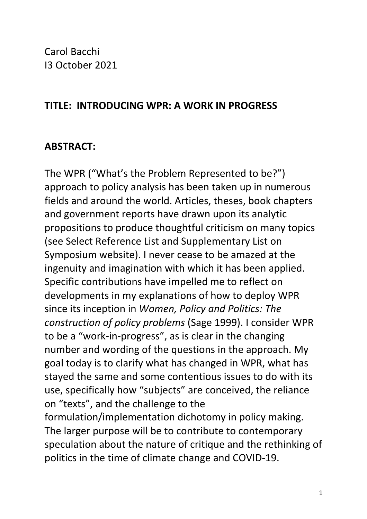Carol Bacchi I3 October 2021

#### **TITLE: INTRODUCING WPR: A WORK IN PROGRESS**

### **ABSTRACT:**

The WPR ("What's the Problem Represented to be?") approach to policy analysis has been taken up in numerous fields and around the world. Articles, theses, book chapters and government reports have drawn upon its analytic propositions to produce thoughtful criticism on many topics (see Select Reference List and Supplementary List on Symposium website). I never cease to be amazed at the ingenuity and imagination with which it has been applied. Specific contributions have impelled me to reflect on developments in my explanations of how to deploy WPR since its inception in *Women, Policy and Politics: The construction of policy problems* (Sage 1999). I consider WPR to be a "work-in-progress", as is clear in the changing number and wording of the questions in the approach. My goal today is to clarify what has changed in WPR, what has stayed the same and some contentious issues to do with its use, specifically how "subjects" are conceived, the reliance on "texts", and the challenge to the formulation/implementation dichotomy in policy making. The larger purpose will be to contribute to contemporary speculation about the nature of critique and the rethinking of politics in the time of climate change and COVID-19.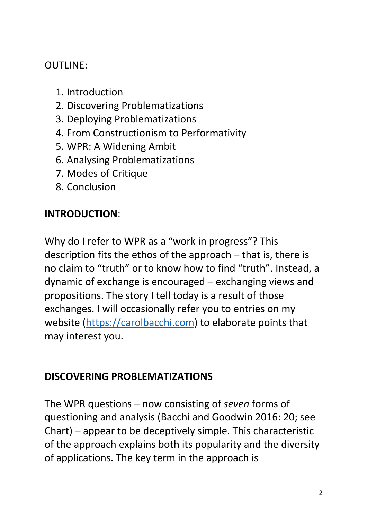OUTLINE:

- 1. Introduction
- 2. Discovering Problematizations
- 3. Deploying Problematizations
- 4. From Constructionism to Performativity
- 5. WPR: A Widening Ambit
- 6. Analysing Problematizations
- 7. Modes of Critique
- 8. Conclusion

# **INTRODUCTION**:

Why do I refer to WPR as a "work in progress"? This description fits the ethos of the approach – that is, there is no claim to "truth" or to know how to find "truth". Instead, a dynamic of exchange is encouraged – exchanging views and propositions. The story I tell today is a result of those exchanges. I will occasionally refer you to entries on my website (https://carolbacchi.com) to elaborate points that may interest you.

#### **DISCOVERING PROBLEMATIZATIONS**

The WPR questions – now consisting of *seven* forms of questioning and analysis (Bacchi and Goodwin 2016: 20; see Chart) – appear to be deceptively simple. This characteristic of the approach explains both its popularity and the diversity of applications. The key term in the approach is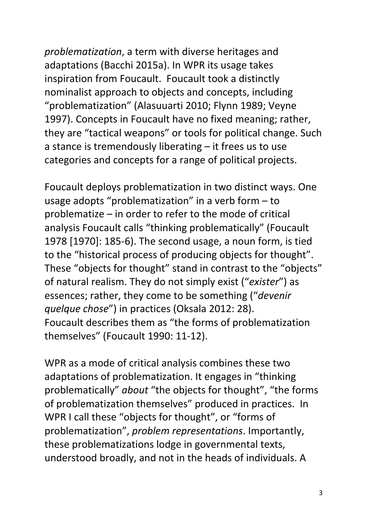*problematization*, a term with diverse heritages and adaptations (Bacchi 2015a). In WPR its usage takes inspiration from Foucault. Foucault took a distinctly nominalist approach to objects and concepts, including "problematization" (Alasuuarti 2010; Flynn 1989; Veyne 1997). Concepts in Foucault have no fixed meaning; rather, they are "tactical weapons" or tools for political change. Such a stance is tremendously liberating – it frees us to use categories and concepts for a range of political projects.

Foucault deploys problematization in two distinct ways. One usage adopts "problematization" in a verb form – to problematize – in order to refer to the mode of critical analysis Foucault calls "thinking problematically" (Foucault 1978 [1970]: 185-6). The second usage, a noun form, is tied to the "historical process of producing objects for thought". These "objects for thought" stand in contrast to the "objects" of natural realism. They do not simply exist ("*exister*") as essences; rather, they come to be something ("*devenir quelque chose*") in practices (Oksala 2012: 28). Foucault describes them as "the forms of problematization themselves" (Foucault 1990: 11-12).

WPR as a mode of critical analysis combines these two adaptations of problematization. It engages in "thinking problematically" *about* "the objects for thought", "the forms of problematization themselves" produced in practices. In WPR I call these "objects for thought", or "forms of problematization", *problem representations*. Importantly, these problematizations lodge in governmental texts, understood broadly, and not in the heads of individuals. A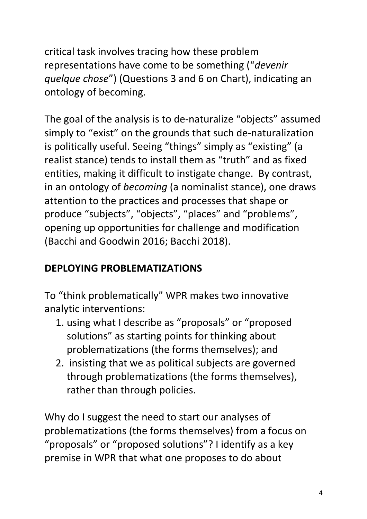critical task involves tracing how these problem representations have come to be something ("*devenir quelque chose*") (Questions 3 and 6 on Chart), indicating an ontology of becoming.

The goal of the analysis is to de-naturalize "objects" assumed simply to "exist" on the grounds that such de-naturalization is politically useful. Seeing "things" simply as "existing" (a realist stance) tends to install them as "truth" and as fixed entities, making it difficult to instigate change. By contrast, in an ontology of *becoming* (a nominalist stance), one draws attention to the practices and processes that shape or produce "subjects", "objects", "places" and "problems", opening up opportunities for challenge and modification (Bacchi and Goodwin 2016; Bacchi 2018).

# **DEPLOYING PROBLEMATIZATIONS**

To "think problematically" WPR makes two innovative analytic interventions:

- 1. using what I describe as "proposals" or "proposed solutions" as starting points for thinking about problematizations (the forms themselves); and
- 2. insisting that we as political subjects are governed through problematizations (the forms themselves), rather than through policies.

Why do I suggest the need to start our analyses of problematizations (the forms themselves) from a focus on "proposals" or "proposed solutions"? I identify as a key premise in WPR that what one proposes to do about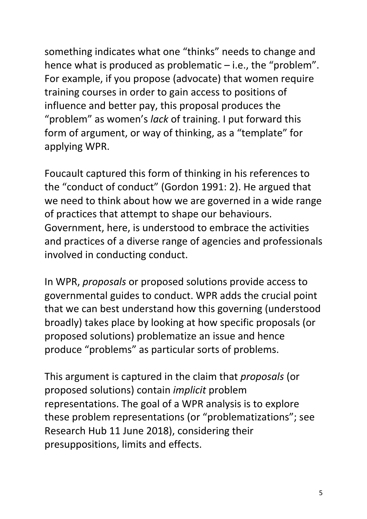something indicates what one "thinks" needs to change and hence what is produced as problematic – i.e., the "problem". For example, if you propose (advocate) that women require training courses in order to gain access to positions of influence and better pay, this proposal produces the "problem" as women's *lack* of training. I put forward this form of argument, or way of thinking, as a "template" for applying WPR.

Foucault captured this form of thinking in his references to the "conduct of conduct" (Gordon 1991: 2). He argued that we need to think about how we are governed in a wide range of practices that attempt to shape our behaviours. Government, here, is understood to embrace the activities and practices of a diverse range of agencies and professionals involved in conducting conduct.

In WPR, *proposals* or proposed solutions provide access to governmental guides to conduct. WPR adds the crucial point that we can best understand how this governing (understood broadly) takes place by looking at how specific proposals (or proposed solutions) problematize an issue and hence produce "problems" as particular sorts of problems.

This argument is captured in the claim that *proposals* (or proposed solutions) contain *implicit* problem representations. The goal of a WPR analysis is to explore these problem representations (or "problematizations"; see Research Hub 11 June 2018), considering their presuppositions, limits and effects.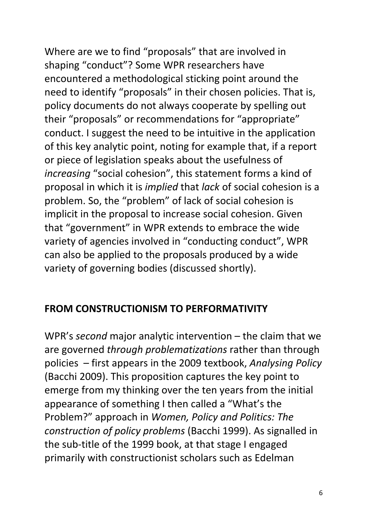Where are we to find "proposals" that are involved in shaping "conduct"? Some WPR researchers have encountered a methodological sticking point around the need to identify "proposals" in their chosen policies. That is, policy documents do not always cooperate by spelling out their "proposals" or recommendations for "appropriate" conduct. I suggest the need to be intuitive in the application of this key analytic point, noting for example that, if a report or piece of legislation speaks about the usefulness of *increasing* "social cohesion", this statement forms a kind of proposal in which it is *implied* that *lack* of social cohesion is a problem. So, the "problem" of lack of social cohesion is implicit in the proposal to increase social cohesion. Given that "government" in WPR extends to embrace the wide variety of agencies involved in "conducting conduct", WPR can also be applied to the proposals produced by a wide variety of governing bodies (discussed shortly).

#### **FROM CONSTRUCTIONISM TO PERFORMATIVITY**

WPR's *second* major analytic intervention – the claim that we are governed *through problematizations* rather than through policies – first appears in the 2009 textbook, *Analysing Policy* (Bacchi 2009). This proposition captures the key point to emerge from my thinking over the ten years from the initial appearance of something I then called a "What's the Problem?" approach in *Women, Policy and Politics: The construction of policy problems* (Bacchi 1999). As signalled in the sub-title of the 1999 book, at that stage I engaged primarily with constructionist scholars such as Edelman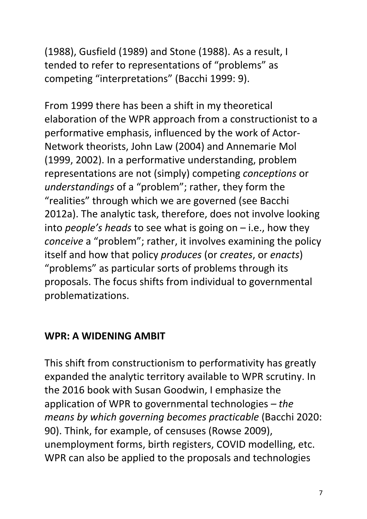(1988), Gusfield (1989) and Stone (1988). As a result, I tended to refer to representations of "problems" as competing "interpretations" (Bacchi 1999: 9).

From 1999 there has been a shift in my theoretical elaboration of the WPR approach from a constructionist to a performative emphasis, influenced by the work of Actor-Network theorists, John Law (2004) and Annemarie Mol (1999, 2002). In a performative understanding, problem representations are not (simply) competing *conceptions* or *understandings* of a "problem"; rather, they form the "realities" through which we are governed (see Bacchi 2012a). The analytic task, therefore, does not involve looking into *people's heads* to see what is going on – i.e., how they *conceive* a "problem"; rather, it involves examining the policy itself and how that policy *produces* (or *creates*, or *enacts*) "problems" as particular sorts of problems through its proposals. The focus shifts from individual to governmental problematizations.

### **WPR: A WIDENING AMBIT**

This shift from constructionism to performativity has greatly expanded the analytic territory available to WPR scrutiny. In the 2016 book with Susan Goodwin, I emphasize the application of WPR to governmental technologies *– the means by which governing becomes practicable* (Bacchi 2020: 90). Think, for example, of censuses (Rowse 2009), unemployment forms, birth registers, COVID modelling, etc. WPR can also be applied to the proposals and technologies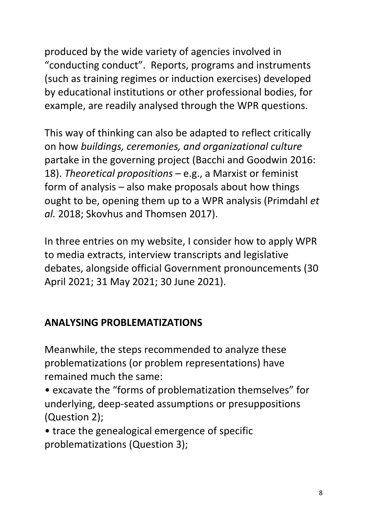produced by the wide variety of agencies involved in "conducting conduct". Reports, programs and instruments (such as training regimes or induction exercises) developed by educational institutions or other professional bodies, for example, are readily analysed through the WPR questions.

This way of thinking can also be adapted to reflect critically on how *buildings, ceremonies, and organizational culture* partake in the governing project (Bacchi and Goodwin 2016: 18). *Theoretical propositions* – e.g., a Marxist or feminist form of analysis – also make proposals about how things ought to be, opening them up to a WPR analysis (Primdahl *et al.* 2018; Skovhus and Thomsen 2017).

In three entries on my website, I consider how to apply WPR to media extracts, interview transcripts and legislative debates, alongside official Government pronouncements (30 April 2021; 31 May 2021; 30 June 2021).

# **ANALYSING PROBLEMATIZATIONS**

Meanwhile, the steps recommended to analyze these problematizations (or problem representations) have remained much the same:

- excavate the "forms of problematization themselves" for underlying, deep-seated assumptions or presuppositions (Question 2);
- trace the genealogical emergence of specific problematizations (Question 3);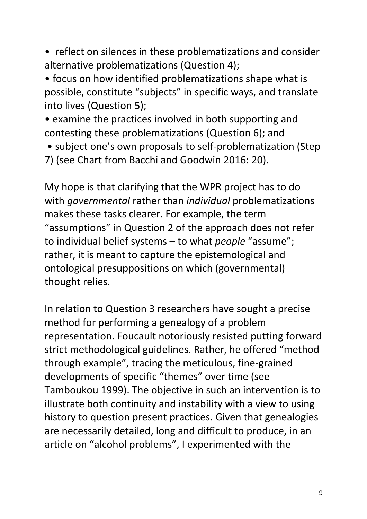• reflect on silences in these problematizations and consider alternative problematizations (Question 4);

• focus on how identified problematizations shape what is possible, constitute "subjects" in specific ways, and translate into lives (Question 5);

• examine the practices involved in both supporting and contesting these problematizations (Question 6); and

- subject one's own proposals to self-problematization (Step
- 7) (see Chart from Bacchi and Goodwin 2016: 20).

My hope is that clarifying that the WPR project has to do with *governmental* rather than *individual* problematizations makes these tasks clearer. For example, the term "assumptions" in Question 2 of the approach does not refer to individual belief systems – to what *people* "assume"; rather, it is meant to capture the epistemological and ontological presuppositions on which (governmental) thought relies.

In relation to Question 3 researchers have sought a precise method for performing a genealogy of a problem representation. Foucault notoriously resisted putting forward strict methodological guidelines. Rather, he offered "method through example", tracing the meticulous, fine-grained developments of specific "themes" over time (see Tamboukou 1999). The objective in such an intervention is to illustrate both continuity and instability with a view to using history to question present practices. Given that genealogies are necessarily detailed, long and difficult to produce, in an article on "alcohol problems", I experimented with the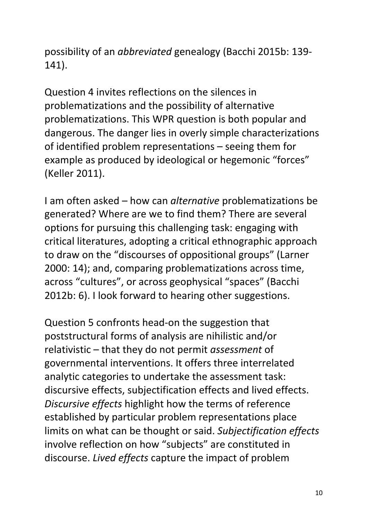possibility of an *abbreviated* genealogy (Bacchi 2015b: 139- 141).

Question 4 invites reflections on the silences in problematizations and the possibility of alternative problematizations. This WPR question is both popular and dangerous. The danger lies in overly simple characterizations of identified problem representations – seeing them for example as produced by ideological or hegemonic "forces" (Keller 2011).

I am often asked – how can *alternative* problematizations be generated? Where are we to find them? There are several options for pursuing this challenging task: engaging with critical literatures, adopting a critical ethnographic approach to draw on the "discourses of oppositional groups" (Larner 2000: 14); and, comparing problematizations across time, across "cultures", or across geophysical "spaces" (Bacchi 2012b: 6). I look forward to hearing other suggestions.

Question 5 confronts head-on the suggestion that poststructural forms of analysis are nihilistic and/or relativistic – that they do not permit *assessment* of governmental interventions. It offers three interrelated analytic categories to undertake the assessment task: discursive effects, subjectification effects and lived effects. *Discursive effects* highlight how the terms of reference established by particular problem representations place limits on what can be thought or said. *Subjectification effects* involve reflection on how "subjects" are constituted in discourse. *Lived effects* capture the impact of problem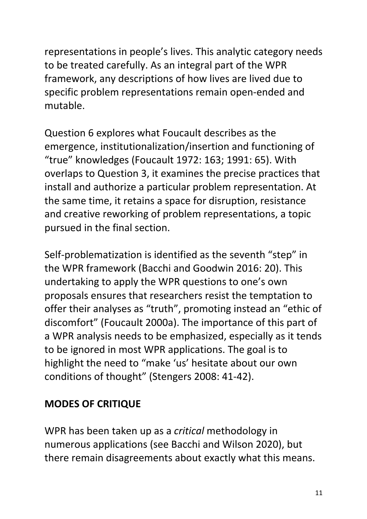representations in people's lives. This analytic category needs to be treated carefully. As an integral part of the WPR framework, any descriptions of how lives are lived due to specific problem representations remain open-ended and mutable.

Question 6 explores what Foucault describes as the emergence, institutionalization/insertion and functioning of "true" knowledges (Foucault 1972: 163; 1991: 65). With overlaps to Question 3, it examines the precise practices that install and authorize a particular problem representation. At the same time, it retains a space for disruption, resistance and creative reworking of problem representations, a topic pursued in the final section.

Self-problematization is identified as the seventh "step" in the WPR framework (Bacchi and Goodwin 2016: 20). This undertaking to apply the WPR questions to one's own proposals ensures that researchers resist the temptation to offer their analyses as "truth", promoting instead an "ethic of discomfort" (Foucault 2000a). The importance of this part of a WPR analysis needs to be emphasized, especially as it tends to be ignored in most WPR applications. The goal is to highlight the need to "make 'us' hesitate about our own conditions of thought" (Stengers 2008: 41-42).

# **MODES OF CRITIQUE**

WPR has been taken up as a *critical* methodology in numerous applications (see Bacchi and Wilson 2020), but there remain disagreements about exactly what this means.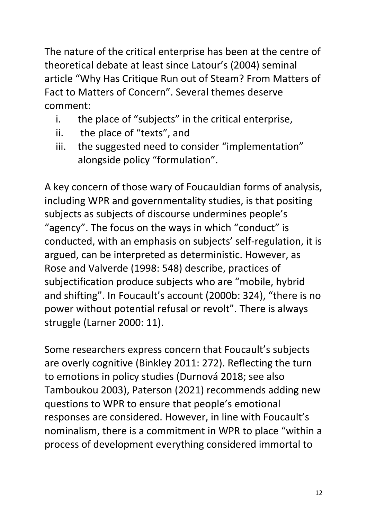The nature of the critical enterprise has been at the centre of theoretical debate at least since Latour's (2004) seminal article "Why Has Critique Run out of Steam? From Matters of Fact to Matters of Concern". Several themes deserve comment:

- i. the place of "subjects" in the critical enterprise,
- ii. the place of "texts", and
- iii. the suggested need to consider "implementation" alongside policy "formulation".

A key concern of those wary of Foucauldian forms of analysis, including WPR and governmentality studies, is that positing subjects as subjects of discourse undermines people's "agency". The focus on the ways in which "conduct" is conducted, with an emphasis on subjects' self-regulation, it is argued, can be interpreted as deterministic. However, as Rose and Valverde (1998: 548) describe, practices of subjectification produce subjects who are "mobile, hybrid and shifting". In Foucault's account (2000b: 324), "there is no power without potential refusal or revolt". There is always struggle (Larner 2000: 11).

Some researchers express concern that Foucault's subjects are overly cognitive (Binkley 2011: 272). Reflecting the turn to emotions in policy studies (Durnová 2018; see also Tamboukou 2003), Paterson (2021) recommends adding new questions to WPR to ensure that people's emotional responses are considered. However, in line with Foucault's nominalism, there is a commitment in WPR to place "within a process of development everything considered immortal to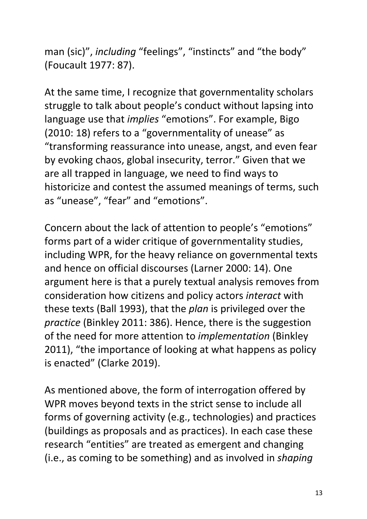man (sic)", *including* "feelings", "instincts" and "the body" (Foucault 1977: 87).

At the same time, I recognize that governmentality scholars struggle to talk about people's conduct without lapsing into language use that *implies* "emotions". For example, Bigo (2010: 18) refers to a "governmentality of unease" as "transforming reassurance into unease, angst, and even fear by evoking chaos, global insecurity, terror." Given that we are all trapped in language, we need to find ways to historicize and contest the assumed meanings of terms, such as "unease", "fear" and "emotions".

Concern about the lack of attention to people's "emotions" forms part of a wider critique of governmentality studies, including WPR, for the heavy reliance on governmental texts and hence on official discourses (Larner 2000: 14). One argument here is that a purely textual analysis removes from consideration how citizens and policy actors *interact* with these texts (Ball 1993), that the *plan* is privileged over the *practice* (Binkley 2011: 386). Hence, there is the suggestion of the need for more attention to *implementation* (Binkley 2011), "the importance of looking at what happens as policy is enacted" (Clarke 2019).

As mentioned above, the form of interrogation offered by WPR moves beyond texts in the strict sense to include all forms of governing activity (e.g., technologies) and practices (buildings as proposals and as practices). In each case these research "entities" are treated as emergent and changing (i.e., as coming to be something) and as involved in *shaping*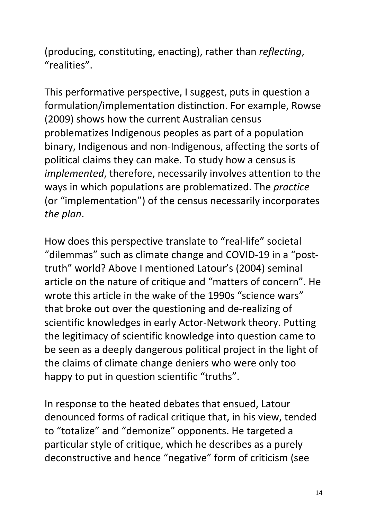(producing, constituting, enacting), rather than *reflecting*, "realities".

This performative perspective, I suggest, puts in question a formulation/implementation distinction. For example, Rowse (2009) shows how the current Australian census problematizes Indigenous peoples as part of a population binary, Indigenous and non-Indigenous, affecting the sorts of political claims they can make. To study how a census is *implemented*, therefore, necessarily involves attention to the ways in which populations are problematized. The *practice* (or "implementation") of the census necessarily incorporates *the plan*.

How does this perspective translate to "real-life" societal "dilemmas" such as climate change and COVID-19 in a "posttruth" world? Above I mentioned Latour's (2004) seminal article on the nature of critique and "matters of concern". He wrote this article in the wake of the 1990s "science wars" that broke out over the questioning and de-realizing of scientific knowledges in early Actor-Network theory. Putting the legitimacy of scientific knowledge into question came to be seen as a deeply dangerous political project in the light of the claims of climate change deniers who were only too happy to put in question scientific "truths".

In response to the heated debates that ensued, Latour denounced forms of radical critique that, in his view, tended to "totalize" and "demonize" opponents. He targeted a particular style of critique, which he describes as a purely deconstructive and hence "negative" form of criticism (see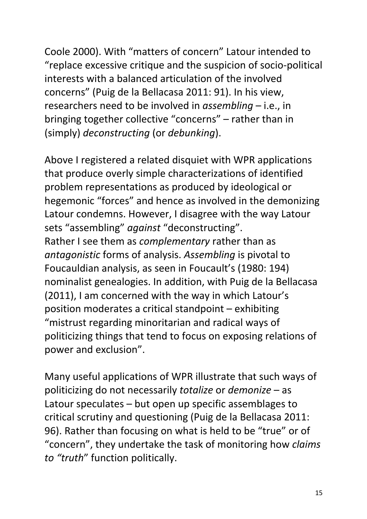Coole 2000). With "matters of concern" Latour intended to "replace excessive critique and the suspicion of socio-political interests with a balanced articulation of the involved concerns" (Puig de la Bellacasa 2011: 91). In his view, researchers need to be involved in *assembling* – i.e., in bringing together collective "concerns" – rather than in (simply) *deconstructing* (or *debunking*).

Above I registered a related disquiet with WPR applications that produce overly simple characterizations of identified problem representations as produced by ideological or hegemonic "forces" and hence as involved in the demonizing Latour condemns. However, I disagree with the way Latour sets "assembling" *against* "deconstructing". Rather I see them as *complementary* rather than as *antagonistic* forms of analysis. *Assembling* is pivotal to Foucauldian analysis, as seen in Foucault's (1980: 194) nominalist genealogies. In addition, with Puig de la Bellacasa (2011), I am concerned with the way in which Latour's position moderates a critical standpoint – exhibiting "mistrust regarding minoritarian and radical ways of politicizing things that tend to focus on exposing relations of power and exclusion".

Many useful applications of WPR illustrate that such ways of politicizing do not necessarily *totalize* or *demonize* – as Latour speculates – but open up specific assemblages to critical scrutiny and questioning (Puig de la Bellacasa 2011: 96). Rather than focusing on what is held to be "true" or of "concern", they undertake the task of monitoring how *claims to "truth*" function politically.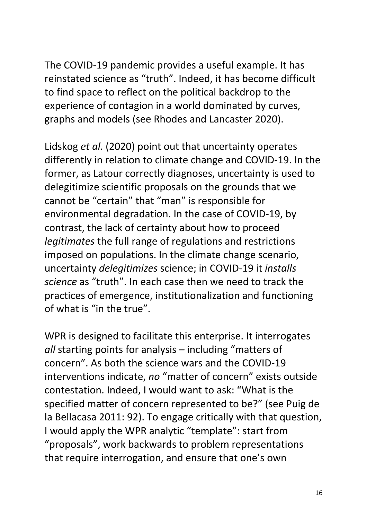The COVID-19 pandemic provides a useful example. It has reinstated science as "truth". Indeed, it has become difficult to find space to reflect on the political backdrop to the experience of contagion in a world dominated by curves, graphs and models (see Rhodes and Lancaster 2020).

Lidskog *et al.* (2020) point out that uncertainty operates differently in relation to climate change and COVID-19. In the former, as Latour correctly diagnoses, uncertainty is used to delegitimize scientific proposals on the grounds that we cannot be "certain" that "man" is responsible for environmental degradation. In the case of COVID-19, by contrast, the lack of certainty about how to proceed *legitimates* the full range of regulations and restrictions imposed on populations. In the climate change scenario, uncertainty *delegitimizes* science; in COVID-19 it *installs science* as "truth". In each case then we need to track the practices of emergence, institutionalization and functioning of what is "in the true".

WPR is designed to facilitate this enterprise. It interrogates *all* starting points for analysis – including "matters of concern". As both the science wars and the COVID-19 interventions indicate, *no* "matter of concern" exists outside contestation. Indeed, I would want to ask: "What is the specified matter of concern represented to be?" (see Puig de la Bellacasa 2011: 92). To engage critically with that question, I would apply the WPR analytic "template": start from "proposals", work backwards to problem representations that require interrogation, and ensure that one's own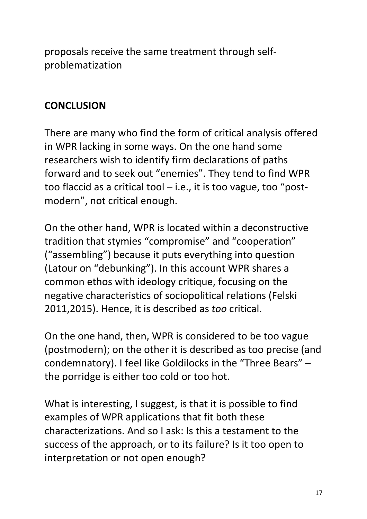proposals receive the same treatment through selfproblematization

# **CONCLUSION**

There are many who find the form of critical analysis offered in WPR lacking in some ways. On the one hand some researchers wish to identify firm declarations of paths forward and to seek out "enemies". They tend to find WPR too flaccid as a critical tool  $-$  i.e., it is too vague, too "postmodern", not critical enough.

On the other hand, WPR is located within a deconstructive tradition that stymies "compromise" and "cooperation" ("assembling") because it puts everything into question (Latour on "debunking"). In this account WPR shares a common ethos with ideology critique, focusing on the negative characteristics of sociopolitical relations (Felski 2011,2015). Hence, it is described as *too* critical.

On the one hand, then, WPR is considered to be too vague (postmodern); on the other it is described as too precise (and condemnatory). I feel like Goldilocks in the "Three Bears" – the porridge is either too cold or too hot.

What is interesting, I suggest, is that it is possible to find examples of WPR applications that fit both these characterizations. And so I ask: Is this a testament to the success of the approach, or to its failure? Is it too open to interpretation or not open enough?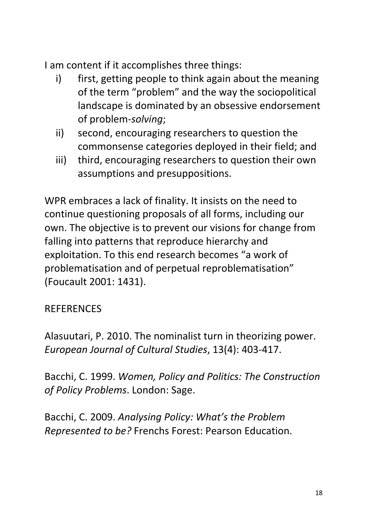I am content if it accomplishes three things:

- i) first, getting people to think again about the meaning of the term "problem" and the way the sociopolitical landscape is dominated by an obsessive endorsement of problem-*solving*;
- ii) second, encouraging researchers to question the commonsense categories deployed in their field; and
- iii) third, encouraging researchers to question their own assumptions and presuppositions.

WPR embraces a lack of finality. It insists on the need to continue questioning proposals of all forms, including our own. The objective is to prevent our visions for change from falling into patterns that reproduce hierarchy and exploitation. To this end research becomes "a work of problematisation and of perpetual reproblematisation" (Foucault 2001: 1431).

### **REFERENCES**

Alasuutari, P. 2010. The nominalist turn in theorizing power. *European Journal of Cultural Studies*, 13(4): 403-417.

Bacchi, C. 1999. *Women, Policy and Politics: The Construction of Policy Problems*. London: Sage.

Bacchi, C. 2009. *Analysing Policy: What's the Problem Represented to be?* Frenchs Forest: Pearson Education.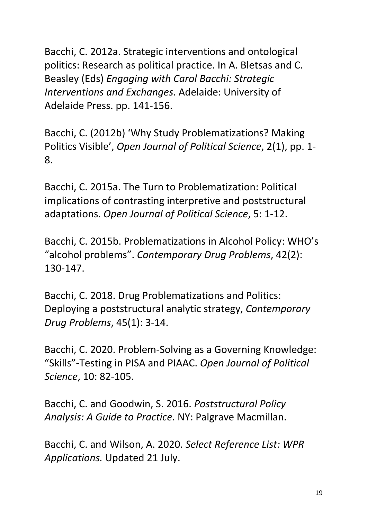Bacchi, C. 2012a. Strategic interventions and ontological politics: Research as political practice. In A. Bletsas and C. Beasley (Eds) *Engaging with Carol Bacchi: Strategic Interventions and Exchanges*. Adelaide: University of Adelaide Press. pp. 141-156.

Bacchi, C. (2012b) 'Why Study Problematizations? Making Politics Visible', *Open Journal of Political Science*, 2(1), pp. 1- 8.

Bacchi, C. 2015a. The Turn to Problematization: Political implications of contrasting interpretive and poststructural adaptations. *Open Journal of Political Science*, 5: 1-12.

Bacchi, C. 2015b. Problematizations in Alcohol Policy: WHO's "alcohol problems". *Contemporary Drug Problems*, 42(2): 130-147.

Bacchi, C. 2018. Drug Problematizations and Politics: Deploying a poststructural analytic strategy, *Contemporary Drug Problems*, 45(1): 3-14.

Bacchi, C. 2020. Problem-Solving as a Governing Knowledge: "Skills"-Testing in PISA and PIAAC. *Open Journal of Political Science*, 10: 82-105.

Bacchi, C. and Goodwin, S. 2016. *Poststructural Policy Analysis: A Guide to Practice*. NY: Palgrave Macmillan.

Bacchi, C. and Wilson, A. 2020. *Select Reference List: WPR Applications.* Updated 21 July.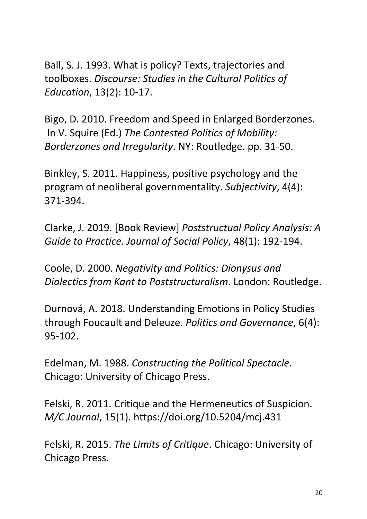Ball, S. J. 1993. What is policy? Texts, trajectories and toolboxes. *Discourse: Studies in the Cultural Politics of Education*, 13(2): 10-17.

Bigo, D. 2010. Freedom and Speed in Enlarged Borderzones. In V. Squire (Ed.) *The Contested Politics of Mobility: Borderzones and Irregularity*. NY: Routledge. pp. 31-50.

Binkley, S. 2011. Happiness, positive psychology and the program of neoliberal governmentality. *Subjectivity*, 4(4): 371-394.

Clarke, J. 2019. [Book Review] *Poststructual Policy Analysis: A Guide to Practice. Journal of Social Policy*, 48(1): 192-194.

Coole, D. 2000. *Negativity and Politics: Dionysus and Dialectics from Kant to Poststructuralism*. London: Routledge.

Durnová, A. 2018. Understanding Emotions in Policy Studies through Foucault and Deleuze. *Politics and Governance*, 6(4): 95-102.

Edelman, M. 1988. *Constructing the Political Spectacle*. Chicago: University of Chicago Press.

Felski, R. 2011. Critique and the Hermeneutics of Suspicion. *M/C Journal*, 15(1). https://doi.org/10.5204/mcj.431

Felski, R. 2015. *The Limits of Critique*. Chicago: University of Chicago Press.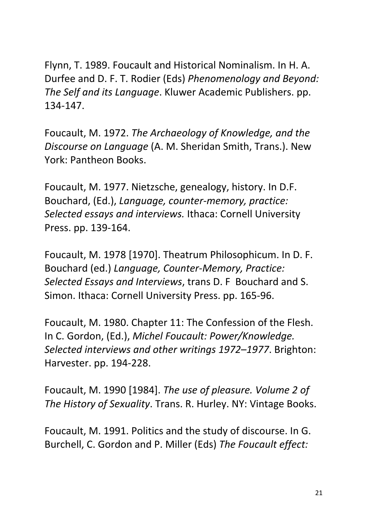Flynn, T. 1989. Foucault and Historical Nominalism. In H. A. Durfee and D. F. T. Rodier (Eds) *Phenomenology and Beyond: The Self and its Language*. Kluwer Academic Publishers. pp. 134-147.

Foucault, M. 1972. *The Archaeology of Knowledge, and the Discourse on Language* (A. M. Sheridan Smith, Trans.). New York: Pantheon Books.

Foucault, M. 1977. Nietzsche, genealogy, history. In D.F. Bouchard, (Ed.), *Language, counter-memory, practice: Selected essays and interviews.* Ithaca: Cornell University Press. pp. 139-164.

Foucault, M. 1978 [1970]. Theatrum Philosophicum. In D. F. Bouchard (ed.) *Language, Counter-Memory, Practice: Selected Essays and Interviews*, trans D. F Bouchard and S. Simon. Ithaca: Cornell University Press. pp. 165-96.

Foucault, M. 1980. Chapter 11: The Confession of the Flesh. In C. Gordon, (Ed.), *Michel Foucault: Power/Knowledge. Selected interviews and other writings 1972–1977*. Brighton: Harvester. pp. 194-228.

Foucault, M. 1990 [1984]. *The use of pleasure. Volume 2 of The History of Sexuality*. Trans. R. Hurley. NY: Vintage Books.

Foucault, M. 1991. Politics and the study of discourse. In G. Burchell, C. Gordon and P. Miller (Eds) *The Foucault effect:*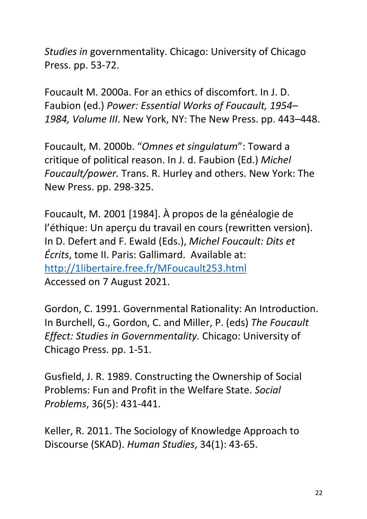*Studies in* governmentality. Chicago: University of Chicago Press. pp. 53-72.

Foucault M. 2000a. For an ethics of discomfort. In J. D. Faubion (ed.) *Power: Essential Works of Foucault, 1954– 1984, Volume III*. New York, NY: The New Press. pp. 443–448.

Foucault, M. 2000b. "*Omnes et singulatum*": Toward a critique of political reason. In J. d. Faubion (Ed.) *Michel Foucault/power.* Trans. R. Hurley and others. New York: The New Press. pp. 298-325.

Foucault, M. 2001 [1984]. À propos de la généalogie de l'éthique: Un aperçu du travail en cours (rewritten version). In D. Defert and F. Ewald (Eds.), *Michel Foucault: Dits et Écrits*, tome II. Paris: Gallimard. Available at: http://1libertaire.free.fr/MFoucault253.html Accessed on 7 August 2021.

Gordon, C. 1991. Governmental Rationality: An Introduction. In Burchell, G., Gordon, C. and Miller, P. (eds) *The Foucault Effect: Studies in Governmentality.* Chicago: University of Chicago Press. pp. 1-51.

Gusfield, J. R. 1989. Constructing the Ownership of Social Problems: Fun and Profit in the Welfare State. *Social Problems*, 36(5): 431-441.

Keller, R. 2011. The Sociology of Knowledge Approach to Discourse (SKAD). *Human Studies*, 34(1): 43-65.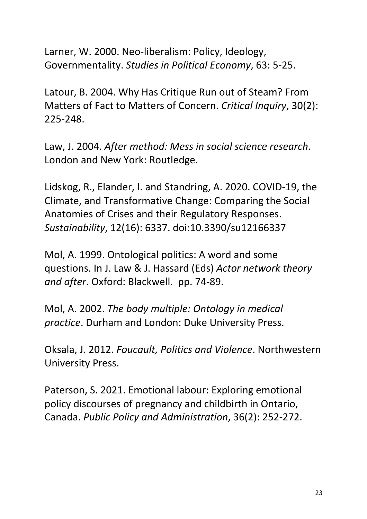Larner, W. 2000. Neo-liberalism: Policy, Ideology, Governmentality. *Studies in Political Economy*, 63: 5-25.

Latour, B. 2004. Why Has Critique Run out of Steam? From Matters of Fact to Matters of Concern. *Critical Inquiry*, 30(2): 225-248.

Law, J. 2004. *After method: Mess in social science research*. London and New York: Routledge.

Lidskog, R., Elander, I. and Standring, A. 2020. COVID-19, the Climate, and Transformative Change: Comparing the Social Anatomies of Crises and their Regulatory Responses. *Sustainability*, 12(16): 6337. doi:10.3390/su12166337

Mol, A. 1999. Ontological politics: A word and some questions. In J. Law & J. Hassard (Eds) *Actor network theory and after*. Oxford: Blackwell. pp. 74-89.

Mol, A. 2002. *The body multiple: Ontology in medical practice*. Durham and London: Duke University Press.

Oksala, J. 2012. *Foucault, Politics and Violence*. Northwestern University Press.

Paterson, S. 2021. Emotional labour: Exploring emotional policy discourses of pregnancy and childbirth in Ontario, Canada. *Public Policy and Administration*, 36(2): 252-272.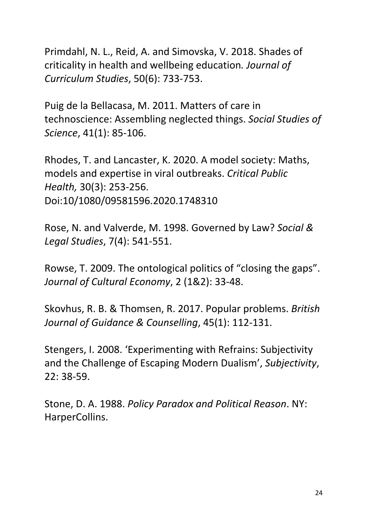Primdahl, N. L., Reid, A. and Simovska, V. 2018. Shades of criticality in health and wellbeing education*. Journal of Curriculum Studies*, 50(6): 733-753.

Puig de la Bellacasa, M. 2011. Matters of care in technoscience: Assembling neglected things. *Social Studies of Science*, 41(1): 85-106.

Rhodes, T. and Lancaster, K. 2020. A model society: Maths, models and expertise in viral outbreaks. *Critical Public Health,* 30(3): 253-256. Doi:10/1080/09581596.2020.1748310

Rose, N. and Valverde, M. 1998. Governed by Law? *Social & Legal Studies*, 7(4): 541-551.

Rowse, T. 2009. The ontological politics of "closing the gaps". *Journal of Cultural Economy*, 2 (1&2): 33-48.

Skovhus, R. B. & Thomsen, R. 2017. Popular problems. *British Journal of Guidance & Counselling*, 45(1): 112-131.

Stengers, I. 2008. 'Experimenting with Refrains: Subjectivity and the Challenge of Escaping Modern Dualism', *Subjectivity*, 22: 38-59.

Stone, D. A. 1988. *Policy Paradox and Political Reason*. NY: HarperCollins.